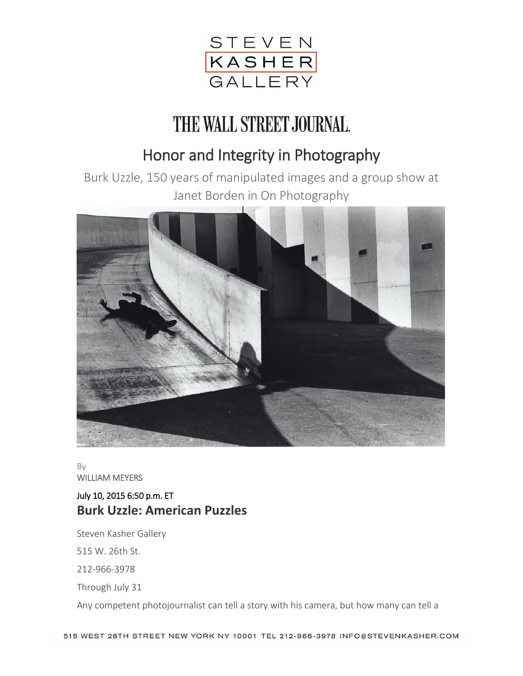

## THE WALL STREET JOURNAL.

## Honor and Integrity in Photography

Burk Uzzle, 150 years of manipulated images and a group show at Janet Borden in On Photography



By WILLIAM MEYERS

## July 10, 2015 6:50 p.m. ET **Burk Uzzle: American Puzzles**

Steven Kasher Gallery

515 W. 26th St.

212-966-3978

Through July 31

Any competent photojournalist can tell a story with his camera, but how many can tell a